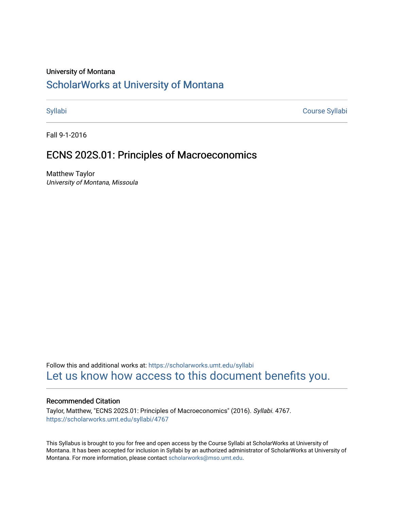### University of Montana

# [ScholarWorks at University of Montana](https://scholarworks.umt.edu/)

[Syllabi](https://scholarworks.umt.edu/syllabi) [Course Syllabi](https://scholarworks.umt.edu/course_syllabi) 

Fall 9-1-2016

## ECNS 202S.01: Principles of Macroeconomics

Matthew Taylor University of Montana, Missoula

Follow this and additional works at: [https://scholarworks.umt.edu/syllabi](https://scholarworks.umt.edu/syllabi?utm_source=scholarworks.umt.edu%2Fsyllabi%2F4767&utm_medium=PDF&utm_campaign=PDFCoverPages)  [Let us know how access to this document benefits you.](https://goo.gl/forms/s2rGfXOLzz71qgsB2) 

### Recommended Citation

Taylor, Matthew, "ECNS 202S.01: Principles of Macroeconomics" (2016). Syllabi. 4767. [https://scholarworks.umt.edu/syllabi/4767](https://scholarworks.umt.edu/syllabi/4767?utm_source=scholarworks.umt.edu%2Fsyllabi%2F4767&utm_medium=PDF&utm_campaign=PDFCoverPages)

This Syllabus is brought to you for free and open access by the Course Syllabi at ScholarWorks at University of Montana. It has been accepted for inclusion in Syllabi by an authorized administrator of ScholarWorks at University of Montana. For more information, please contact [scholarworks@mso.umt.edu.](mailto:scholarworks@mso.umt.edu)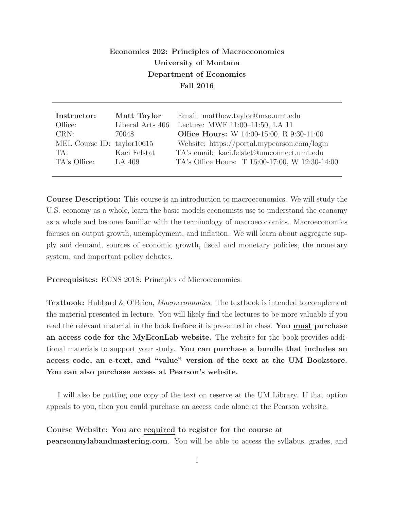### **Economics 202: Principles of Macroeconomics University of Montana Department of Economics Fall 2016**

| Instructor:                | Matt Taylor      | Email: matthew.taylor@mso.umt.edu                |
|----------------------------|------------------|--------------------------------------------------|
| Office:                    | Liberal Arts 406 | Lecture: MWF 11:00-11:50, LA 11                  |
| CRN:                       | 70048            | <b>Office Hours:</b> W 14:00-15:00, R 9:30-11:00 |
| MEL Course ID: taylor10615 |                  | Website: https://portal.mypearson.com/login      |
| TA:                        | Kaci Felstat     | TA's email: kaci.felstet@umconnect.umt.edu       |
| TA's Office:               | LA 409           | TA's Office Hours: T 16:00-17:00, W 12:30-14:00  |
|                            |                  |                                                  |

**Course Description:** This course is an introduction to macroeconomics. We will study the U.S. economy as a whole, learn the basic models economists use to understand the economy as a whole and become familiar with the terminology of macroeconomics. Macroeconomics focuses on output growth, unemployment, and inflation. We will learn about aggregate supply and demand, sources of economic growth, fiscal and monetary policies, the monetary system, and important policy debates.

**Prerequisites:** ECNS 201S: Principles of Microeconomics.

**Textbook:** Hubbard & O'Brien, Macroeconomics. The textbook is intended to complement the material presented in lecture. You will likely find the lectures to be more valuable if you read the relevant material in the book **before** it is presented in class. **You must purchase an access code for the MyEconLab website.** The website for the book provides additional materials to support your study. **You can purchase a bundle that includes an access code, an e-text, and "value" version of the text at the UM Bookstore. You can also purchase access at Pearson's website.**

I will also be putting one copy of the text on reserve at the UM Library. If that option appeals to you, then you could purchase an access code alone at the Pearson website.

**Course Website: You are required to register for the course at pearsonmylabandmastering.com**. You will be able to access the syllabus, grades, and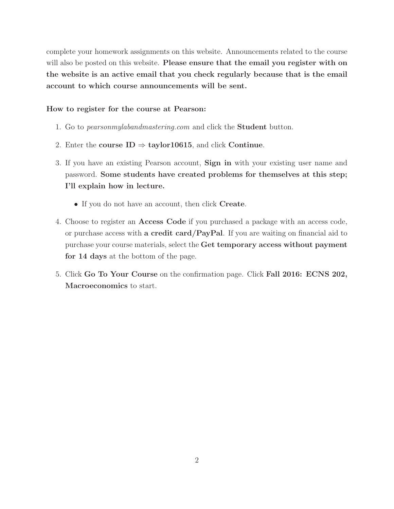complete your homework assignments on this website. Announcements related to the course will also be posted on this website. **Please ensure that the email you register with on the website is an active email that you check regularly because that is the email account to which course announcements will be sent.**

#### **How to register for the course at Pearson:**

- 1. Go to pearsonmylabandmastering.com and click the **Student** button.
- 2. Enter the **course**  $ID \Rightarrow$  **taylor10615**, and click **Continue**.
- 3. If you have an existing Pearson account, **Sign in** with your existing user name and password. **Some students have created problems for themselves at this step; I'll explain how in lecture.**
	- • If you do not have an account, then click **Create**.
- 4. Choose to register an **Access Code** if you purchased a package with an access code, or purchase access with **a credit card/PayPal**. If you are waiting on financial aid to purchase your course materials, select the **Get temporary access without payment for 14 days** at the bottom of the page.
- 5. Click **Go To Your Course** on the confirmation page. Click **Fall 2016: ECNS 202, Macroeconomics** to start.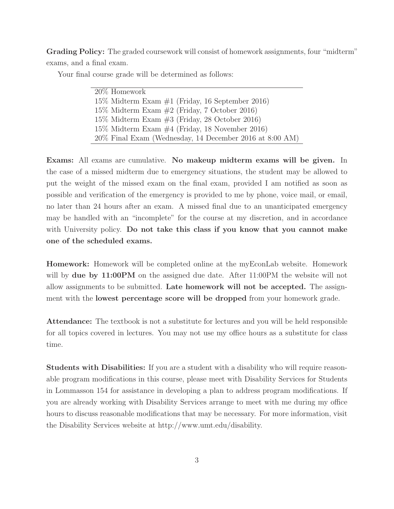**Grading Policy:** The graded coursework will consist of homework assignments, four "midterm" exams, and a final exam.

Your final course grade will be determined as follows:

20% Homework 15% Midterm Exam #1 (Friday, 16 September 2016) 15% Midterm Exam #2 (Friday, 7 October 2016) 15% Midterm Exam #3 (Friday, 28 October 2016) 15% Midterm Exam #4 (Friday, 18 November 2016) 20% Final Exam (Wednesday, 14 December 2016 at 8:00 AM)

**Exams:** All exams are cumulative. **No makeup midterm exams will be given.** In the case of a missed midterm due to emergency situations, the student may be allowed to put the weight of the missed exam on the final exam, provided I am notified as soon as possible and verification of the emergency is provided to me by phone, voice mail, or email, no later than 24 hours after an exam. A missed final due to an unanticipated emergency may be handled with an "incomplete" for the course at my discretion, and in accordance with University policy. **Do not take this class if you know that you cannot make one of the scheduled exams.**

**Homework:** Homework will be completed online at the myEconLab website. Homework will by **due by 11:00PM** on the assigned due date. After 11:00PM the website will not allow assignments to be submitted. **Late homework will not be accepted.** The assignment with the **lowest percentage score will be dropped** from your homework grade.

**Attendance:** The textbook is not a substitute for lectures and you will be held responsible for all topics covered in lectures. You may not use my office hours as a substitute for class time.

**Students with Disabilities:** If you are a student with a disability who will require reasonable program modifications in this course, please meet with Disability Services for Students in Lommasson 154 for assistance in developing a plan to address program modifications. If you are already working with Disability Services arrange to meet with me during my office hours to discuss reasonable modifications that may be necessary. For more information, visit the Disability Services website at http://www.umt.edu/disability.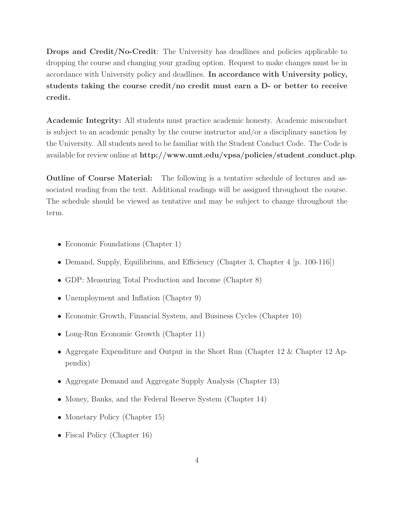**Drops and Credit/No-Credit**: The University has deadlines and policies applicable to dropping the course and changing your grading option. Request to make changes must be in accordance with University policy and deadlines. **In accordance with University policy, students taking the course credit/no credit must earn a D- or better to receive credit.**

**Academic Integrity:** All students must practice academic honesty. Academic misconduct is subject to an academic penalty by the course instructor and/or a disciplinary sanction by the University. All students need to be familiar with the Student Conduct Code. The Code is available for review online at **http://www.umt.edu/vpsa/policies/student conduct.php**.

**Outline of Course Material:** The following is a tentative schedule of lectures and associated reading from the text. Additional readings will be assigned throughout the course. The schedule should be viewed as tentative and may be subject to change throughout the term.

- Economic Foundations (Chapter 1)
- Demand, Supply, Equilibrium, and Efficiency (Chapter 3, Chapter 4 [p. 100-116])
- GDP: Measuring Total Production and Income (Chapter 8)
- Unemployment and Inflation (Chapter 9)
- Economic Growth, Financial System, and Business Cycles (Chapter 10)
- Long-Run Economic Growth (Chapter 11)
- Aggregate Expenditure and Output in the Short Run (Chapter 12 & Chapter 12 Appendix)
- Aggregate Demand and Aggregate Supply Analysis (Chapter 13)
- Money, Banks, and the Federal Reserve System (Chapter 14)
- Monetary Policy (Chapter 15)
- Fiscal Policy (Chapter 16)